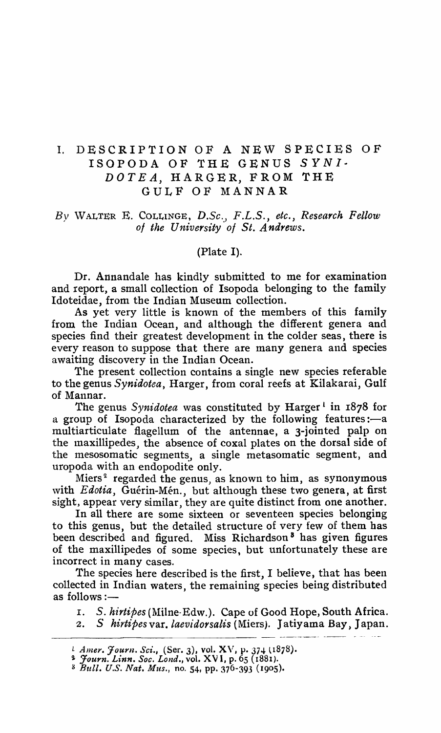## 1. DESCRIPTION OF A NEW SPECIES OF ISOPODA OF THE GENUS SYNI. *DOTEA,* HARGER, FROM THE GULF OF MANNAR

## *By* \VALTER E. COLLINGE, *D.Se., F.L.S., etc., Research Fellow of the University' of St. Andrews.*

(Plate I).

Dr. Annandale has kindly submitted to me for examination and report, a small collection of Isopoda belonging to the family Idoteidae, from the Indian Museum collection.

As yet very little is known of the members of this family from the Indian Ocean, and although the different genera and species find their greatest development in the colder seas, there is every reason to suppose that there are many genera and species awaiting discovery in the Indian Ocean.

The present collection contains a single new species referable to the genus *Synidotea,* Harger, from coral reefs at Kilakarai, Gulf of Mannar.

The genus *Synidotea* was constituted by Harger<sup>1</sup> in 1878 for a group of Isopoda characterized by the following features:—a multiarticulate flagellum of the antennae, a 3-jointed palp on the maxillipedes, the absence of coxal plates on the dorsal side of the mesosomatic segments, a single metasomatic segment, and uropoda with an endopodite only.

Miers<sup>2</sup> regarded the genus, as known to him, as synonymous with *Edotia*, Guérin-Mén., but although these two genera, at first sight, appear very similar, they are quite distinct from one another.

In all there are some sixteen or seventeen species belonging to this genus, but the detailed structure of very few of them has been described and figured. Miss Richardson<sup>8</sup> has given figures of the maxillipedes of some species, but unfortunately these are incorrect in many cases.

The species here described is the first, I believe, that has been collected in Indian waters, the remaining species being distributed<br>as follows :—

I. *S. hirtipes* (Milne-Edw.). Cape of Good Hope, South Africa.

2. S *hirtipes* var. *laevidorsalis* (Miers). Jatiyama Bay, Japan.

*L Amer. Journ. Sci.*, (Ser. 3), vol. XV, p. 374 (1878).

<sup>~</sup>*:Journ. Linn. Soc. Lond.,* vol. XV 1, p. 65 (1881).

S *Bull.* U.S. *Nat. Mus.,* no. 54, pp. 376-393 (1905).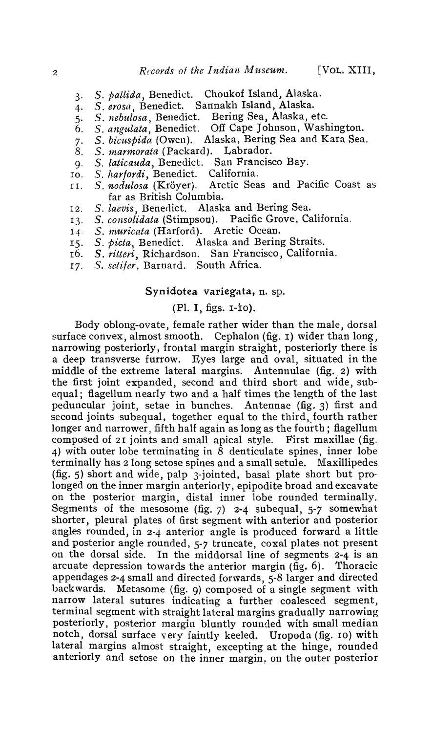- 3· S. *pallida,* Benedict. Choukof Island, Alaska.
- 4· S. *erosa,* Benedict. Sannakh Island, Alaska.
- 5· *S. nebu,losa,* Benedict. Bering Sea, Alaska, etc.
- 6. *S. angulata,* Benedict. Off Cape Johnson, Washington.
- 7· *S. bic'uspida* (Owen). Alaska, Bering Sea and Kara Sea.
- 8. S. marmorata (Packard). Labrador.
- g. *S. laticauda,* Benedict. San Francisco Bay.
- IO. *S. harfordi,* Benedict. California.
- II. Arctic Seas and Pacific Coast as far as British Columbia.
- 12. S. laevis, Benedict. Alaska and Bering Sea.
- 13· S. *consolidata* (Stimpson). Pacific Grove, California.
- 14· *S. 1nuricata* (Harford). Arctic Ocean.
- IS· S. *bicta*, Benedict. Alaska and Bering Straits.
- 16. S. *ritteri,* Richardson. San Francisco, California.
- 17- *S. setifer,* Barnard. South Africa.

## Synidotea variegata, n. sp.

## (PI. I, figs. r-io).

Body oblong-ovate, female rather wider than the male, dorsal surface convex, almost smooth. Cephalon (fig. 1) wider than long, narrowing posteriorly, frontal margin straight, posteriorly there is a deep transverse furrow. Eyes large and oval, situated in the middle of the extreme lateral margins. Antennulae (fig. 2) with the first joint expanded, second and third short and \vide, subequal; flagellum nearly two and a half times the length of the last peduncular joint, setae in bunches. Antennae (fig. 3) first and second joints subequal, together equal to the third, fourth rather longer and narrower, fifth half again as long as the fourth; flagellum composed of 21 joints and small apical style. First maxillae (fig. 4) with outer lobe terminating in  $\bar{8}$  denticulate spines, inner lobe terminally has 2 long setose spines and a small setule. Maxillipedes (fig. 5) short and wide, palp 3-jointed, basal plate short but prolonged on the inner margin anteriorly, epipodite broad and excavate on the posterior margin, distal inner lobe rounded terminally. Segments of the mesosome (fig.  $7$ ) 2-4 subequal,  $5-7$  somewhat shorter, pleural plates of first segment with anterior and posterior angles rounded, in 2-4 anterior angle is produced forward a little and posterior angle rounded, 5-7 truncate, coxal plates not present on the dorsal side. In the middorsal line of segments 2-4 is an arcuate depression towards the anterior margin (fig. 6). Thoracic appendages 2-4 small and directed forwards, 5-8 larger and directed backwards. Metasome (fig. 9) composed of a single segment with narrow lateral sutures indicating a further coalesced segment, terminal segment with straight lateral margins gradually narrowing posteriorly, posterior margin bluntly rounded with small median notch, dorsal surface very faintly keeled. Uropoda (fig. 10) with lateral margins almost straight, excepting at the hinge, rounded anteriorly and setose on the inner margin, on the outer posterior